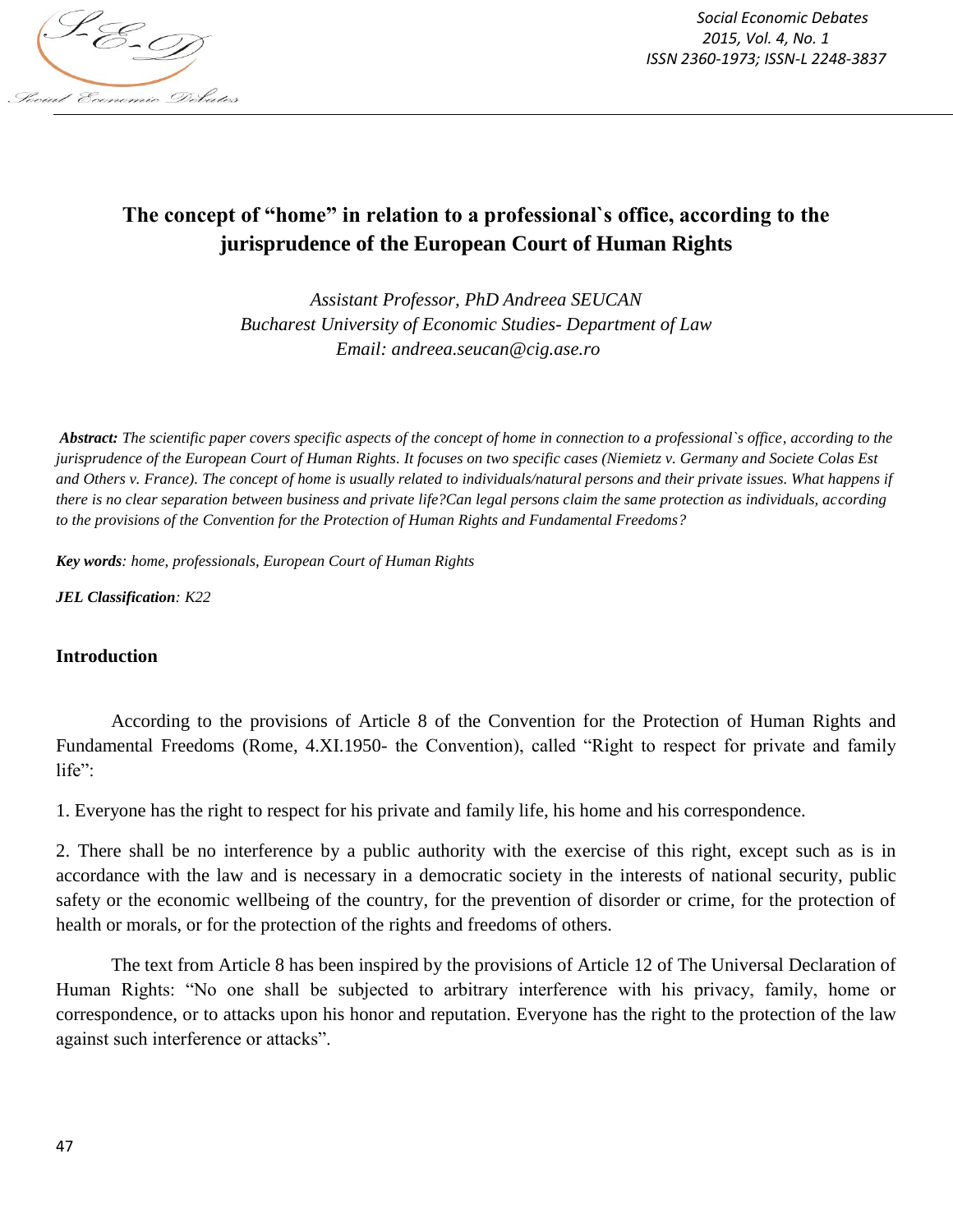

*Social Economic Debates 2015, Vol. 4, No. 1 ISSN 2360-1973; ISSN-L 2248-3837*

## **The concept of "home" in relation to a professional`s office, according to the jurisprudence of the European Court of Human Rights**

*Assistant Professor, PhD Andreea SEUCAN Bucharest University of Economic Studies- Department of Law Email: [andreea.seucan@cig.ase.ro](mailto:andreea.seucan@cig.ase.ro)*

*Abstract: The scientific paper covers specific aspects of the concept of home in connection to a professional`s office, according to the jurisprudence of the European Court of Human Rights. It focuses on two specific cases (Niemietz v. Germany and Societe Colas Est and Others v. France). The concept of home is usually related to individuals/natural persons and their private issues. What happens if there is no clear separation between business and private life?Can legal persons claim the same protection as individuals, according to the provisions of the Convention for the Protection of Human Rights and Fundamental Freedoms?*

*Key words: home, professionals, European Court of Human Rights* 

*JEL Classification: K22*

## **Introduction**

According to the provisions of Article 8 of the Convention for the Protection of Human Rights and Fundamental Freedoms (Rome, 4.XI.1950- the Convention), called "Right to respect for private and family life":

1. Everyone has the right to respect for his private and family life, his home and his correspondence.

2. There shall be no interference by a public authority with the exercise of this right, except such as is in accordance with the law and is necessary in a democratic society in the interests of national security, public safety or the economic wellbeing of the country, for the prevention of disorder or crime, for the protection of health or morals, or for the protection of the rights and freedoms of others.

The text from Article 8 has been inspired by the provisions of Article 12 of The Universal Declaration of Human Rights: "No one shall be subjected to arbitrary interference with his privacy, family, home or correspondence, or to attacks upon his honor and reputation. Everyone has the right to the protection of the law against such interference or attacks".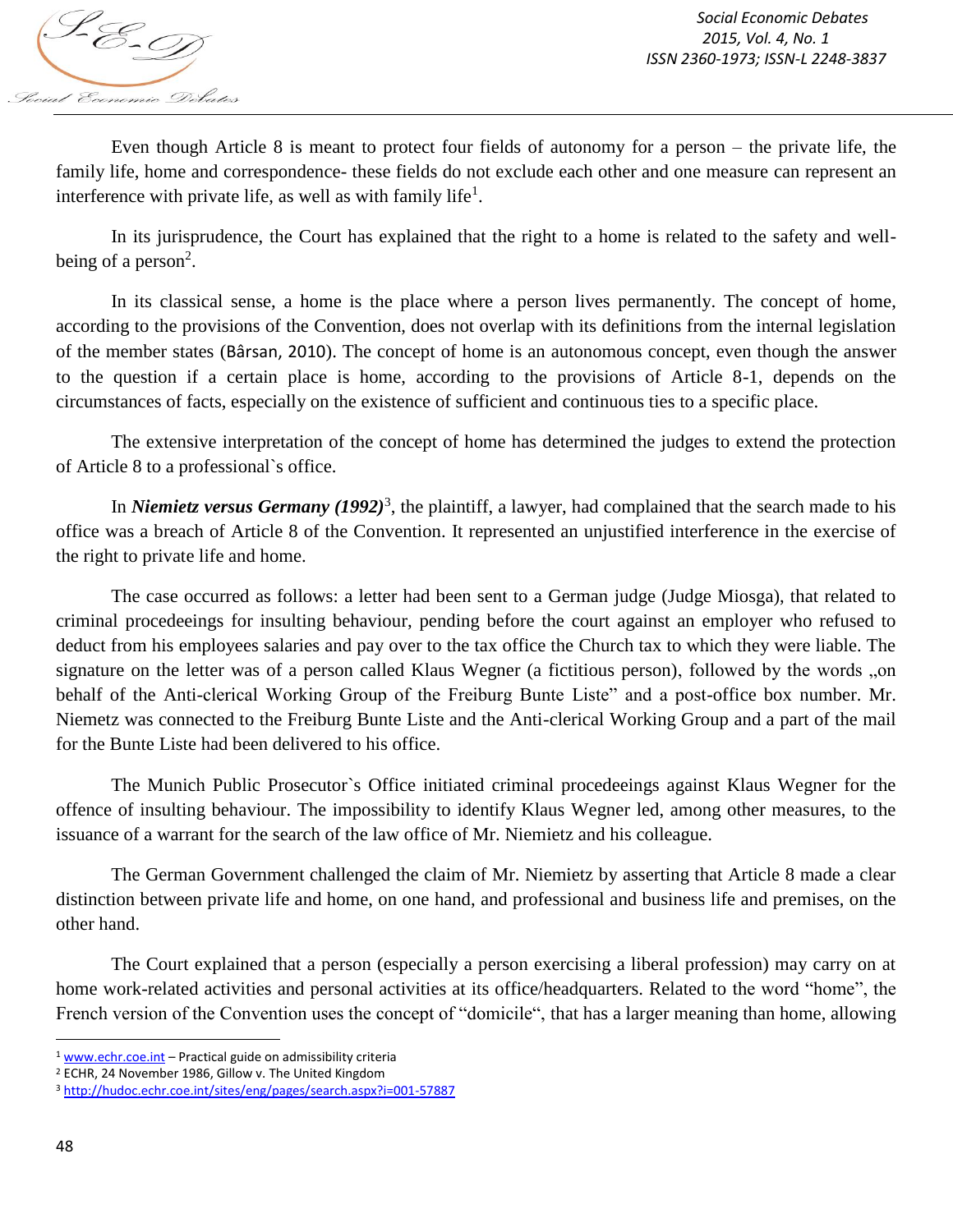

Even though Article 8 is meant to protect four fields of autonomy for a person – the private life, the family life, home and correspondence- these fields do not exclude each other and one measure can represent an interference with private life, as well as with family life<sup>1</sup>.

In its jurisprudence, the Court has explained that the right to a home is related to the safety and wellbeing of a person<sup>2</sup>.

In its classical sense, a home is the place where a person lives permanently. The concept of home, according to the provisions of the Convention, does not overlap with its definitions from the internal legislation of the member states (Bârsan, 2010). The concept of home is an autonomous concept, even though the answer to the question if a certain place is home, according to the provisions of Article 8-1, depends on the circumstances of facts, especially on the existence of sufficient and continuous ties to a specific place.

The extensive interpretation of the concept of home has determined the judges to extend the protection of Article 8 to a professional`s office.

In *Niemietz versus Germany (1992)*<sup>3</sup>, the plaintiff, a lawyer, had complained that the search made to his office was a breach of Article 8 of the Convention. It represented an unjustified interference in the exercise of the right to private life and home.

The case occurred as follows: a letter had been sent to a German judge (Judge Miosga), that related to criminal procedeeings for insulting behaviour, pending before the court against an employer who refused to deduct from his employees salaries and pay over to the tax office the Church tax to which they were liable. The signature on the letter was of a person called Klaus Wegner (a fictitious person), followed by the words "on behalf of the Anti-clerical Working Group of the Freiburg Bunte Liste" and a post-office box number. Mr. Niemetz was connected to the Freiburg Bunte Liste and the Anti-clerical Working Group and a part of the mail for the Bunte Liste had been delivered to his office.

The Munich Public Prosecutor`s Office initiated criminal procedeeings against Klaus Wegner for the offence of insulting behaviour. The impossibility to identify Klaus Wegner led, among other measures, to the issuance of a warrant for the search of the law office of Mr. Niemietz and his colleague.

The German Government challenged the claim of Mr. Niemietz by asserting that Article 8 made a clear distinction between private life and home, on one hand, and professional and business life and premises, on the other hand.

The Court explained that a person (especially a person exercising a liberal profession) may carry on at home work-related activities and personal activities at its office/headquarters. Related to the word "home", the French version of the Convention uses the concept of "domicile", that has a larger meaning than home, allowing

 $\overline{\phantom{a}}$ 

 $1$  [www.echr.coe.int](http://www.echr.coe.int/) – Practical guide on admissibility criteria

<sup>2</sup> ECHR, 24 November 1986, Gillow v. The United Kingdom

<sup>3</sup> <http://hudoc.echr.coe.int/sites/eng/pages/search.aspx?i=001-57887>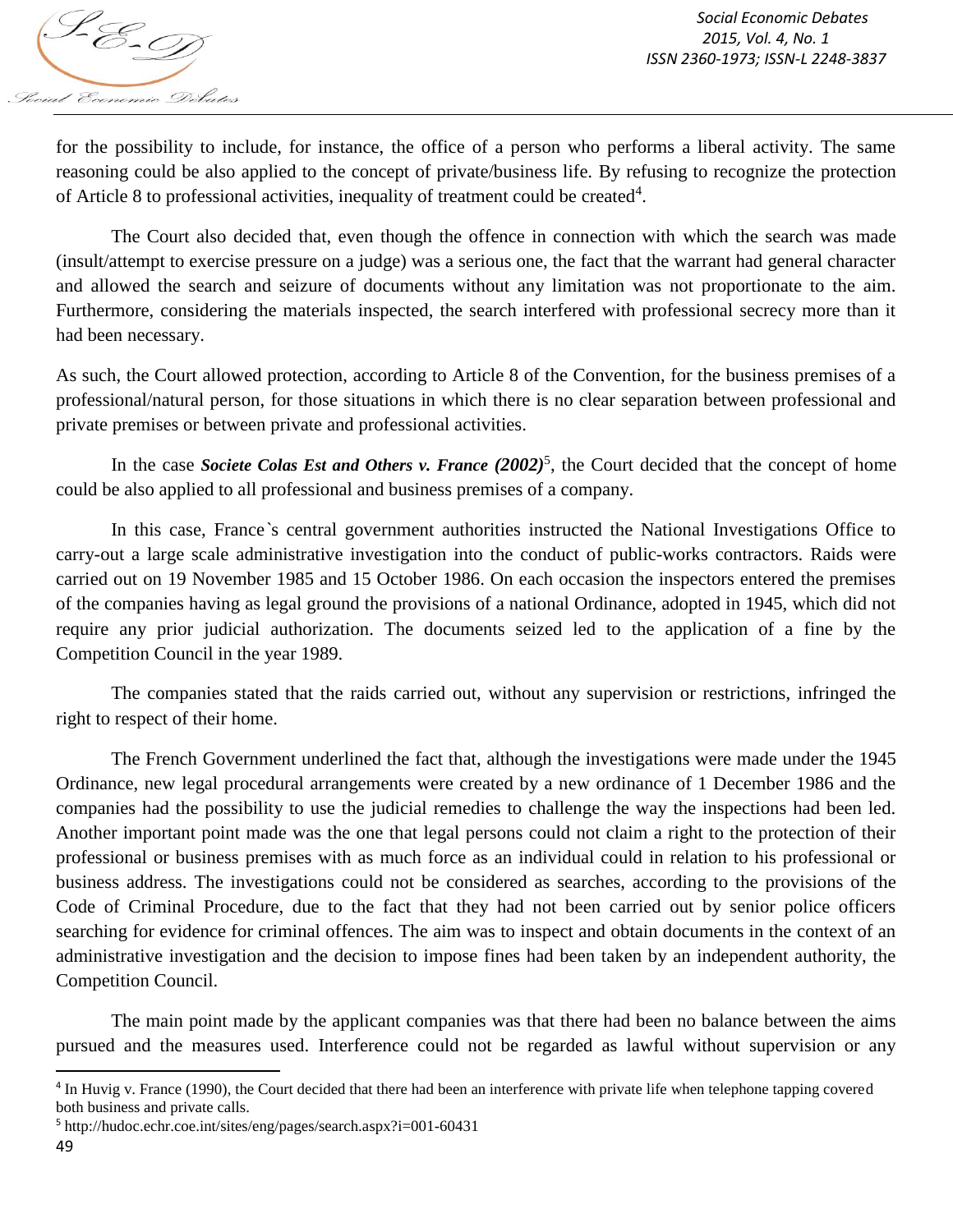

for the possibility to include, for instance, the office of a person who performs a liberal activity. The same reasoning could be also applied to the concept of private/business life. By refusing to recognize the protection of Article 8 to professional activities, inequality of treatment could be created<sup>4</sup>.

The Court also decided that, even though the offence in connection with which the search was made (insult/attempt to exercise pressure on a judge) was a serious one, the fact that the warrant had general character and allowed the search and seizure of documents without any limitation was not proportionate to the aim. Furthermore, considering the materials inspected, the search interfered with professional secrecy more than it had been necessary.

As such, the Court allowed protection, according to Article 8 of the Convention, for the business premises of a professional/natural person, for those situations in which there is no clear separation between professional and private premises or between private and professional activities.

In the case *Societe Colas Est and Others v. France*  $(2002)^5$ , the Court decided that the concept of home could be also applied to all professional and business premises of a company.

In this case, France*`*s central government authorities instructed the National Investigations Office to carry-out a large scale administrative investigation into the conduct of public-works contractors. Raids were carried out on 19 November 1985 and 15 October 1986. On each occasion the inspectors entered the premises of the companies having as legal ground the provisions of a national Ordinance, adopted in 1945, which did not require any prior judicial authorization. The documents seized led to the application of a fine by the Competition Council in the year 1989.

The companies stated that the raids carried out, without any supervision or restrictions, infringed the right to respect of their home.

The French Government underlined the fact that, although the investigations were made under the 1945 Ordinance, new legal procedural arrangements were created by a new ordinance of 1 December 1986 and the companies had the possibility to use the judicial remedies to challenge the way the inspections had been led. Another important point made was the one that legal persons could not claim a right to the protection of their professional or business premises with as much force as an individual could in relation to his professional or business address. The investigations could not be considered as searches, according to the provisions of the Code of Criminal Procedure, due to the fact that they had not been carried out by senior police officers searching for evidence for criminal offences. The aim was to inspect and obtain documents in the context of an administrative investigation and the decision to impose fines had been taken by an independent authority, the Competition Council.

The main point made by the applicant companies was that there had been no balance between the aims pursued and the measures used. Interference could not be regarded as lawful without supervision or any

 $\overline{\phantom{a}}$ 

<sup>&</sup>lt;sup>4</sup> In Huvig v. France (1990), the Court decided that there had been an interference with private life when telephone tapping covered both business and private calls.

<sup>5</sup> <http://hudoc.echr.coe.int/sites/eng/pages/search.aspx?i=001-60431>